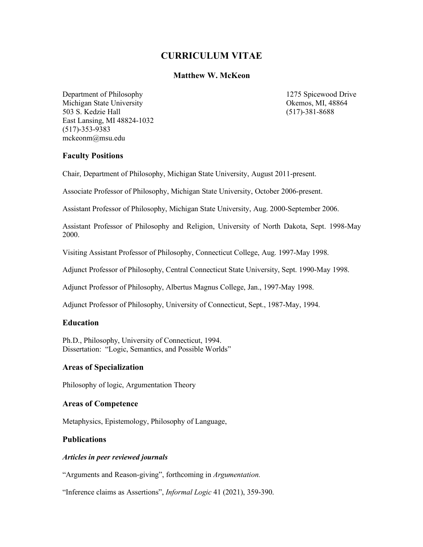# **CURRICULUM VITAE**

# **Matthew W. McKeon**

Department of Philosophy 1275 Spicewood Drive Michigan State University Okemos, MI, 48864 503 S. Kedzie Hall (517)-381-8688 East Lansing, MI 48824-1032 (517)-353-9383 mckeonm@msu.edu

# **Faculty Positions**

Chair, Department of Philosophy, Michigan State University, August 2011-present.

Associate Professor of Philosophy, Michigan State University, October 2006-present.

Assistant Professor of Philosophy, Michigan State University, Aug. 2000-September 2006.

Assistant Professor of Philosophy and Religion, University of North Dakota, Sept. 1998-May 2000.

Visiting Assistant Professor of Philosophy, Connecticut College, Aug. 1997-May 1998.

Adjunct Professor of Philosophy, Central Connecticut State University, Sept. 1990-May 1998.

Adjunct Professor of Philosophy, Albertus Magnus College, Jan., 1997-May 1998.

Adjunct Professor of Philosophy, University of Connecticut, Sept., 1987-May, 1994.

# **Education**

Ph.D., Philosophy, University of Connecticut, 1994. Dissertation: "Logic, Semantics, and Possible Worlds"

# **Areas of Specialization**

Philosophy of logic, Argumentation Theory

# **Areas of Competence**

Metaphysics, Epistemology, Philosophy of Language,

# **Publications**

# *Articles in peer reviewed journals*

"Arguments and Reason-giving", forthcoming in *Argumentation.*

"Inference claims as Assertions", *Informal Logic* 41 (2021), 359-390.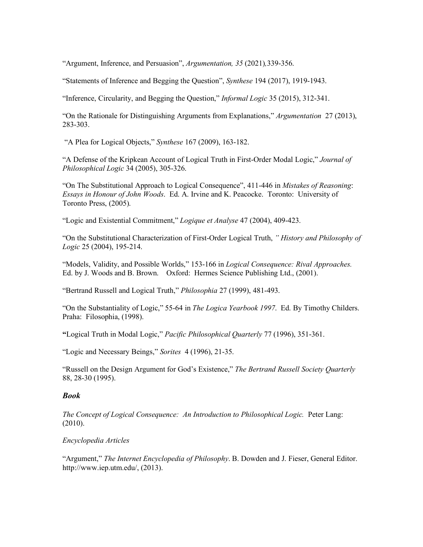"Argument, Inference, and Persuasion", *Argumentation, 35* (2021)*,*339-356.

"Statements of Inference and Begging the Question", *Synthese* 194 (2017), 1919-1943.

"Inference, Circularity, and Begging the Question," *Informal Logic* 35 (2015), 312-341.

"On the Rationale for Distinguishing Arguments from Explanations," *Argumentation* 27 (2013), 283-303.

"A Plea for Logical Objects," *Synthese* 167 (2009), 163-182.

"A Defense of the Kripkean Account of Logical Truth in First-Order Modal Logic," *Journal of Philosophical Logic* 34 (2005), 305-326.

"On The Substitutional Approach to Logical Consequence", 411-446 in *Mistakes of Reasoning*: *Essays in Honour of John Woods*. Ed. A. Irvine and K. Peacocke. Toronto: University of Toronto Press, (2005).

"Logic and Existential Commitment," *Logique et Analyse* 47 (2004), 409-423.

"On the Substitutional Characterization of First-Order Logical Truth, *" History and Philosophy of Logic* 25 (2004), 195-214.

"Models, Validity, and Possible Worlds," 153-166 in *Logical Consequence: Rival Approaches.* Ed. by J. Woods and B. Brown. Oxford: Hermes Science Publishing Ltd., (2001).

"Bertrand Russell and Logical Truth," *Philosophia* 27 (1999), 481-493.

"On the Substantiality of Logic," 55-64 in *The Logica Yearbook 1997*. Ed. By Timothy Childers. Praha: Filosophia, (1998).

**"**Logical Truth in Modal Logic," *Pacific Philosophical Quarterly* 77 (1996), 351-361.

"Logic and Necessary Beings," *Sorites* 4 (1996), 21-35.

"Russell on the Design Argument for God's Existence," *The Bertrand Russell Society Quarterly*  88, 28-30 (1995).

# *Book*

*The Concept of Logical Consequence: An Introduction to Philosophical Logic.* Peter Lang: (2010).

# *Encyclopedia Articles*

"Argument," *The Internet Encyclopedia of Philosophy*. B. Dowden and J. Fieser, General Editor. http://www.iep.utm.edu/, (2013).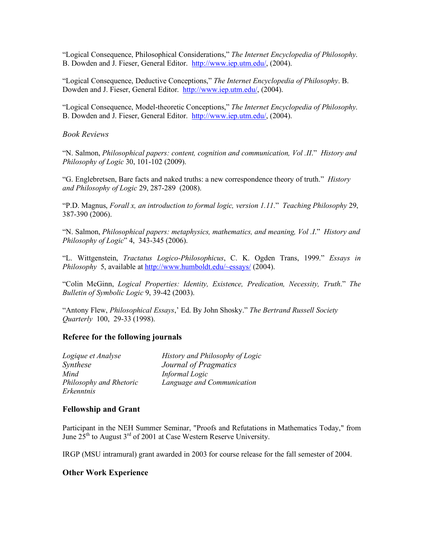"Logical Consequence, Philosophical Considerations," *The Internet Encyclopedia of Philosophy*. B. Dowden and J. Fieser, General Editor. http://www.iep.utm.edu/, (2004).

"Logical Consequence, Deductive Conceptions," *The Internet Encyclopedia of Philosophy*. B. Dowden and J. Fieser, General Editor. http://www.iep.utm.edu/, (2004).

"Logical Consequence, Model-theoretic Conceptions," *The Internet Encyclopedia of Philosophy*. B. Dowden and J. Fieser, General Editor. http://www.iep.utm.edu/, (2004).

*Book Reviews*

"N. Salmon, *Philosophical papers: content, cognition and communication, Vol .II*." *History and Philosophy of Logic* 30, 101-102 (2009).

"G. Englebretsen, Bare facts and naked truths: a new correspondence theory of truth." *History and Philosophy of Logic* 29, 287-289 (2008).

"P.D. Magnus, *Forall x, an introduction to formal logic, version 1.11*." *Teaching Philosophy* 29, 387-390 (2006).

"N. Salmon, *Philosophical papers: metaphysics, mathematics, and meaning, Vol .I*." *History and Philosophy of Logic*" 4, 343-345 (2006).

"L. Wittgenstein, *Tractatus Logico-Philosophicus*, C. K. Ogden Trans, 1999." *Essays in Philosophy* 5, available at http://www.humboldt.edu/~essays/ (2004).

"Colin McGinn, *Logical Properties: Identity, Existence, Predication, Necessity, Truth*." *The Bulletin of Symbolic Logic* 9, 39-42 (2003).

"Antony Flew, *Philosophical Essays*,' Ed. By John Shosky." *The Bertrand Russell Society Quarterly* 100, 29-33 (1998).

# **Referee for the following journals**

| Logique et Analyse      | History and Philosophy of Logic |
|-------------------------|---------------------------------|
| Synthese                | Journal of Pragmatics           |
| Mind                    | Informal Logic                  |
| Philosophy and Rhetoric | Language and Communication      |
| Erkenntnis              |                                 |

#### **Fellowship and Grant**

Participant in the NEH Summer Seminar, "Proofs and Refutations in Mathematics Today," from June  $25<sup>th</sup>$  to August  $3<sup>rd</sup>$  of 2001 at Case Western Reserve University.

IRGP (MSU intramural) grant awarded in 2003 for course release for the fall semester of 2004.

#### **Other Work Experience**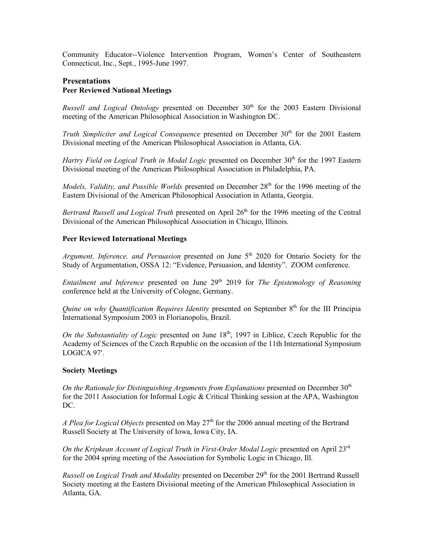Community Educator--Violence Intervention Program, Women's Center of Southeastern Connecticut, Inc., Sept., 1995-June 1997.

# **Presentations Peer Reviewed National Meetings**

*Russell and Logical Ontology* presented on December 30<sup>th</sup> for the 2003 Eastern Divisional meeting of the American Philosophical Association in Washington DC.

*Truth Simpliciter and Logical Consequence* presented on December 30<sup>th</sup> for the 2001 Eastern Divisional meeting of the American Philosophical Association in Atlanta, GA.

*Hartry Field on Logical Truth in Modal Logic* presented on December 30<sup>th</sup> for the 1997 Eastern Divisional meeting of the American Philosophical Association in Philadelphia, PA.

*Models, Validity, and Possible Worlds* presented on December 28<sup>th</sup> for the 1996 meeting of the Eastern Divisional of the American Philosophical Association in Atlanta, Georgia.

*Bertrand Russell and Logical Truth* presented on April 26<sup>th</sup> for the 1996 meeting of the Central Divisional of the American Philosophical Association in Chicago, Illinois.

# **Peer Reviewed International Meetings**

*Argument, Inference, and Persuasion* presented on June 5<sup>th</sup> 2020 for Ontario Society for the Study of Argumentation, OSSA 12: "Evidence, Persuasion, and Identity". ZOOM conference.

*Entailment and Inference* presented on June 29<sup>th</sup> 2019 for *The Epistemology of Reasoning* conference held at the University of Cologne, Germany.

*Quine on why Quantification Requires Identity* presented on September 8<sup>th</sup> for the III Principia International Symposium 2003 in Florianopolis, Brazil.

*On the Substantiality of Logic* presented on June 18<sup>th</sup>, 1997 in Liblice, Czech Republic for the Academy of Sciences of the Czech Republic on the occasion of the 11th International Symposium LOGICA 97'.

# **Society Meetings**

*On the Rationale for Distinguishing Arguments from Explanations* presented on December 30th for the 2011 Association for Informal Logic & Critical Thinking session at the APA, Washington DC.

*A Plea for Logical Objects* presented on May 27th for the 2006 annual meeting of the Bertrand Russell Society at The University of Iowa, Iowa City, IA.

*On the Kripkean Account of Logical Truth in First-Order Modal Logic* presented on April 23rd for the 2004 spring meeting of the Association for Symbolic Logic in Chicago, Ill.

*Russell on Logical Truth and Modality* presented on December 29<sup>th</sup> for the 2001 Bertrand Russell Society meeting at the Eastern Divisional meeting of the American Philosophical Association in Atlanta, GA.